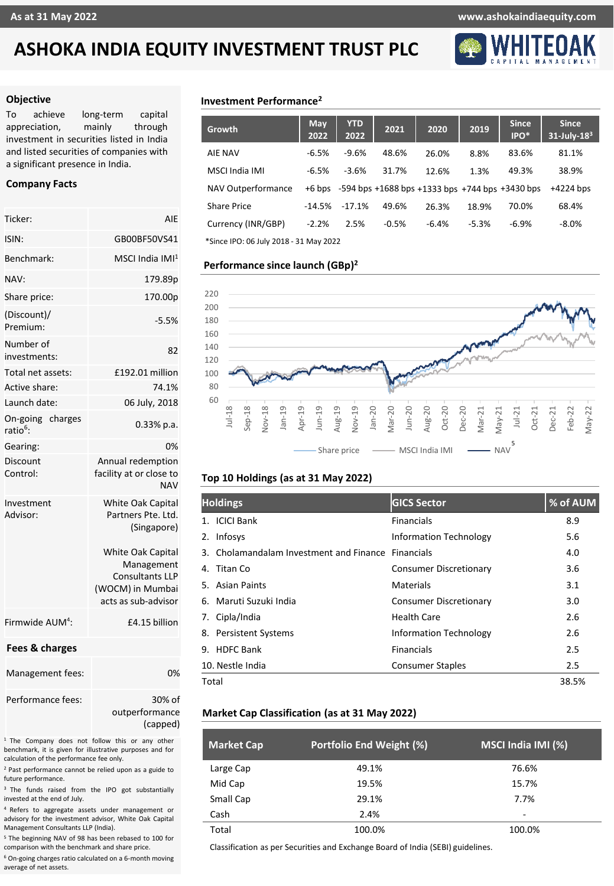# **ASHOKA INDIA EQUITY INVESTMENT TRUST PLC**



### **Objective**

To achieve long-term capital appreciation, mainly through investment in securities listed in India and listed securities of companies with a significant presence in India.

## **Company Facts**

| Ticker:                                  | AIE                                                                                                         |  |  |  |
|------------------------------------------|-------------------------------------------------------------------------------------------------------------|--|--|--|
| ISIN:                                    | GB00BF50VS41                                                                                                |  |  |  |
| Benchmark:                               | MSCI India IMI <sup>1</sup>                                                                                 |  |  |  |
| NAV:                                     | 179.89p                                                                                                     |  |  |  |
| Share price:                             | 170.00p                                                                                                     |  |  |  |
| (Discount)/<br>Premium:                  | $-5.5%$                                                                                                     |  |  |  |
| Number of<br>investments:                | 82                                                                                                          |  |  |  |
| Total net assets:                        | £192.01 million                                                                                             |  |  |  |
| Active share:                            | 74.1%                                                                                                       |  |  |  |
| Launch date:                             | 06 July, 2018                                                                                               |  |  |  |
| On-going charges<br>ratio <sup>6</sup> : | $0.33\%$ p.a.                                                                                               |  |  |  |
| Gearing:                                 | 0%                                                                                                          |  |  |  |
| Discount<br>Control:                     | Annual redemption<br>facility at or close to<br><b>NAV</b>                                                  |  |  |  |
| Investment<br>Advisor:                   | <b>White Oak Capital</b><br>Partners Pte. Ltd.<br>(Singapore)                                               |  |  |  |
|                                          | <b>White Oak Capital</b><br>Management<br><b>Consultants LLP</b><br>(WOCM) in Mumbai<br>acts as sub-advisor |  |  |  |
| Firmwide AUM <sup>4</sup> :              | £4.15 billion                                                                                               |  |  |  |
| Fees & charges                           |                                                                                                             |  |  |  |
| Management fees:                         | 0%                                                                                                          |  |  |  |
| Performance fees:                        | 30% of<br>outperformance<br>(capped)                                                                        |  |  |  |

<sup>1</sup> The Company does not follow this or any other benchmark, it is given for illustrative purposes and for calculation of the performance fee only.

<sup>2</sup> Past performance cannot be relied upon as a guide to future performance.

<sup>3</sup> The funds raised from the IPO got substantially invested at the end of July.

<sup>4</sup> Refers to aggregate assets under management or advisory for the investment advisor, White Oak Capital Management Consultants LLP (India).

<sup>5</sup> The beginning NAV of 98 has been rebased to 100 for comparison with the benchmark and share price.

<sup>6</sup> On-going charges ratio calculated on a 6-month moving average of net assets.

## **Investment Performance<sup>2</sup>**

| <b>Growth</b>                          | May<br>2022 | <b>YTD</b><br>2022 | 2021    | 2020    | 2019    | <b>Since</b><br>IPO*                                               | <b>Since</b><br>$31$ -July- $183$ |
|----------------------------------------|-------------|--------------------|---------|---------|---------|--------------------------------------------------------------------|-----------------------------------|
| <b>AIE NAV</b>                         | $-6.5%$     | $-9.6%$            | 48.6%   | 26.0%   | 8.8%    | 83.6%                                                              | 81.1%                             |
| MSCI India IMI                         | $-6.5%$     | $-3.6%$            | 31.7%   | 12.6%   | 1.3%    | 49.3%                                                              | 38.9%                             |
| NAV Outperformance                     |             |                    |         |         |         | $+6$ bps $-594$ bps $+1688$ bps $+1333$ bps $+744$ bps $+3430$ bps | $+4224$ bps                       |
| <b>Share Price</b>                     | $-14.5%$    | $-17.1%$           | 49.6%   | 26.3%   | 18.9%   | 70.0%                                                              | 68.4%                             |
| Currency (INR/GBP)                     | $-2.2%$     | 2.5%               | $-0.5%$ | $-6.4%$ | $-5.3%$ | $-6.9%$                                                            | $-8.0%$                           |
| *Since IPO: 06 July 2018 - 31 May 2022 |             |                    |         |         |         |                                                                    |                                   |

### **Performance since launch (GBp) 2**



## **Top 10 Holdings (as at 31 May 2022)**

| <b>Holdings</b>                                    | <b>GICS Sector</b>            | % of AUM |
|----------------------------------------------------|-------------------------------|----------|
| <b>ICICI Bank</b>                                  | <b>Financials</b>             | 8.9      |
| Infosys<br>2.                                      | <b>Information Technology</b> | 5.6      |
| 3. Cholamandalam Investment and Finance Financials |                               | 4.0      |
| Titan Co<br>4.                                     | Consumer Discretionary        | 3.6      |
| 5. Asian Paints                                    | Materials                     | 3.1      |
| 6. Maruti Suzuki India                             | <b>Consumer Discretionary</b> | 3.0      |
| Cipla/India<br>7.                                  | Health Care                   | 2.6      |
| 8. Persistent Systems                              | <b>Information Technology</b> | 2.6      |
| 9. HDFC Bank                                       | <b>Financials</b>             | 2.5      |
| 10. Nestle India                                   | Consumer Staples              | 2.5      |
| Total                                              |                               | 38.5%    |

## **Market Cap Classification (as at 31 May 2022)**

| <b>Market Cap</b> | Portfolio End Weight (%) | MSCI India IMI (%) |
|-------------------|--------------------------|--------------------|
| Large Cap         | 49.1%                    | 76.6%              |
| Mid Cap           | 19.5%                    | 15.7%              |
| Small Cap         | 29.1%                    | 7.7%               |
| Cash              | 2.4%                     | -                  |
| Total             | 100.0%                   | 100.0%             |

Classification as per Securities and Exchange Board of India (SEBI) guidelines.